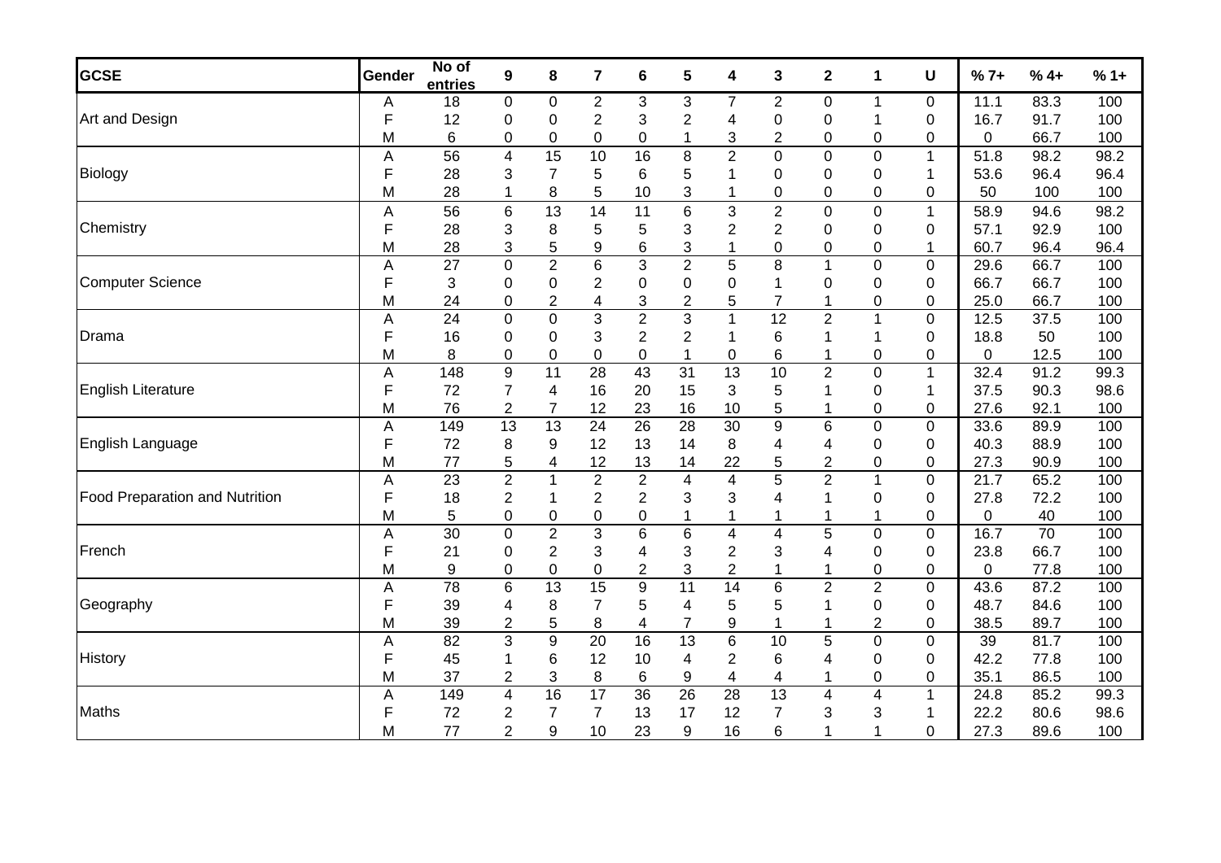| <b>GCSE</b>                           | Gender | No of<br>entries | $\boldsymbol{9}$        | 8                | $\overline{\mathbf{r}}$ | 6               | 5               | 4                         | 3                       | $\mathbf 2$             | 1                       | U            | $%7+$       | $%4+$           | $%1+$ |
|---------------------------------------|--------|------------------|-------------------------|------------------|-------------------------|-----------------|-----------------|---------------------------|-------------------------|-------------------------|-------------------------|--------------|-------------|-----------------|-------|
| Art and Design                        | A      | 18               | $\pmb{0}$               | $\pmb{0}$        | $\overline{2}$          | 3               | 3               | $\overline{7}$            | $\overline{c}$          | 0                       | $\mathbf{1}$            | 0            | 11.1        | 83.3            | 100   |
|                                       | F      | 12               | $\pmb{0}$               | $\boldsymbol{0}$ | $\sqrt{2}$              | 3               | $\overline{2}$  | $\overline{\mathbf{4}}$   | 0                       | 0                       | $\mathbf{1}$            | 0            | 16.7        | 91.7            | 100   |
|                                       | Μ      | 6                | 0                       | $\boldsymbol{0}$ | $\mathbf 0$             | 0               | 1               | $\ensuremath{\mathsf{3}}$ | $\overline{2}$          | 0                       | 0                       | 0            | 0           | 66.7            | 100   |
| Biology                               | A      | 56               | $\overline{\mathbf{4}}$ | 15               | 10                      | 16              | 8               | $\overline{2}$            | $\mathsf 0$             | 0                       | $\pmb{0}$               | $\mathbf{1}$ | 51.8        | 98.2            | 98.2  |
|                                       | F      | 28               | 3                       | $\overline{7}$   | 5                       | 6               | 5               | 1                         | 0                       | 0                       | 0                       | $\mathbf{1}$ | 53.6        | 96.4            | 96.4  |
|                                       | M      | 28               | 1                       | 8                | 5                       | 10              | 3               | 1                         | $\mathbf 0$             | 0                       | 0                       | 0            | 50          | 100             | 100   |
| Chemistry                             | A      | 56               | $\,6$                   | 13               | 14                      | 11              | 6               | $\mathbf{3}$              | $\overline{c}$          | 0                       | $\pmb{0}$               | $\mathbf{1}$ | 58.9        | 94.6            | 98.2  |
|                                       | F      | 28               | 3                       | 8                | 5                       | 5               | 3               | $\overline{2}$            | $\overline{2}$          | 0                       | 0                       | 0            | 57.1        | 92.9            | 100   |
|                                       | M      | 28               | 3                       | 5                | 9                       | 6               | 3               | $\mathbf 1$               | $\mathbf 0$             | 0                       | $\mathbf 0$             | $\mathbf{1}$ | 60.7        | 96.4            | 96.4  |
| <b>Computer Science</b>               | A      | $\overline{27}$  | $\pmb{0}$               | $\overline{2}$   | $\overline{6}$          | $\overline{3}$  | $\overline{2}$  | $\overline{5}$            | 8                       | 1                       | $\mathsf 0$             | 0            | 29.6        | 66.7            | 100   |
|                                       | F      | 3                | $\pmb{0}$               | $\mathbf 0$      | $\overline{2}$          | 0               | 0               | $\mathbf 0$               | 1                       | 0                       | 0                       | 0            | 66.7        | 66.7            | 100   |
|                                       | M      | 24               | $\pmb{0}$               | $\overline{c}$   | 4                       | 3               | $\overline{2}$  | 5                         | $\overline{7}$          | 1                       | 0                       | 0            | 25.0        | 66.7            | 100   |
| Drama                                 | A      | $\overline{24}$  | $\overline{0}$          | $\overline{0}$   | $\overline{3}$          | $\overline{2}$  | $\overline{3}$  | $\overline{1}$            | 12                      | $\overline{2}$          | $\overline{1}$          | $\mathbf 0$  | 12.5        | 37.5            | 100   |
|                                       | F      | 16               | $\pmb{0}$               | $\mathbf 0$      | 3                       | $\overline{c}$  | $\overline{c}$  | 1                         | 6                       | 1                       | 1                       | 0            | 18.8        | 50              | 100   |
|                                       | M      | 8                | $\pmb{0}$               | $\boldsymbol{0}$ | 0                       | 0               | $\mathbf{1}$    | 0                         | 6                       | 1                       | 0                       | 0            | 0           | 12.5            | 100   |
| <b>English Literature</b>             | A      | 148              | $\overline{9}$          | $\overline{11}$  | $\overline{28}$         | 43              | $\overline{31}$ | 13                        | 10                      | $\overline{2}$          | $\mathsf 0$             | $\mathbf{1}$ | 32.4        | 91.2            | 99.3  |
|                                       | F      | 72               | $\overline{7}$          | $\overline{4}$   | 16                      | 20              | 15              | 3                         | 5                       |                         | 0                       | $\mathbf 1$  | 37.5        | 90.3            | 98.6  |
|                                       | Μ      | 76               | $\boldsymbol{2}$        | $\overline{7}$   | 12                      | 23              | 16              | 10                        | 5                       | 1                       | 0                       | 0            | 27.6        | 92.1            | 100   |
| English Language                      | Α      | 149              | 13                      | 13               | $\overline{24}$         | 26              | $\overline{28}$ | 30                        | $\overline{9}$          | $\overline{6}$          | $\overline{0}$          | 0            | 33.6        | 89.9            | 100   |
|                                       | F      | 72               | 8                       | 9                | 12                      | 13              | 14              | 8                         | 4                       | 4                       | 0                       | 0            | 40.3        | 88.9            | 100   |
|                                       | M      | 77               | 5                       | 4                | 12                      | 13              | 14              | 22                        | 5                       | $\overline{2}$          | 0                       | 0            | 27.3        | 90.9            | 100   |
| <b>Food Preparation and Nutrition</b> | Α      | $\overline{23}$  | $\overline{2}$          | $\mathbf 1$      | $\boldsymbol{2}$        | $\overline{2}$  | 4               | $\overline{4}$            | 5                       | $\overline{2}$          | $\mathbf{1}$            | 0            | 21.7        | 65.2            | 100   |
|                                       | F      | 18               | $\overline{c}$          | 1                | $\overline{2}$          | $\overline{c}$  | 3               | $\ensuremath{\mathsf{3}}$ | 4                       | 1                       | 0                       | $\mathbf 0$  | 27.8        | 72.2            | 100   |
|                                       | M      | 5                | $\pmb{0}$               | $\boldsymbol{0}$ | $\pmb{0}$               | 0               | 1               | $\mathbf 1$               |                         | 1                       | 1                       | 0            | $\mathbf 0$ | 40              | 100   |
| French                                | Α      | $\overline{30}$  | $\mathbf 0$             | $\overline{2}$   | $\overline{3}$          | 6               | 6               | $\overline{\mathbf{4}}$   | $\overline{\mathbf{4}}$ | 5                       | 0                       | 0            | 16.7        | $\overline{70}$ | 100   |
|                                       | F      | 21               | 0                       | $\overline{c}$   | $\sqrt{3}$              | 4               | 3               | $\boldsymbol{2}$          | 3                       | 4                       | 0                       | 0            | 23.8        | 66.7            | 100   |
|                                       | M      | 9                | 0                       | $\mathbf 0$      | $\pmb{0}$               | $\overline{c}$  | 3               | $\overline{c}$            | 1                       | 1                       | $\mathbf 0$             | 0            | 0           | 77.8            | 100   |
| Geography                             | Α      | $\overline{78}$  | 6                       | 13               | 15                      | $\overline{9}$  | $\overline{11}$ | 14                        | 6                       | $\overline{2}$          | $\overline{2}$          | 0            | 43.6        | 87.2            | 100   |
|                                       | F      | 39               | 4                       | 8                | $\overline{7}$          | 5               | 4               | 5                         | 5                       | 1                       | $\mathbf 0$             | 0            | 48.7        | 84.6            | 100   |
|                                       | Μ      | 39               | $\overline{c}$          | 5                | 8                       | 4               | $\overline{7}$  | 9                         |                         |                         | $\overline{c}$          | 0            | 38.5        | 89.7            | 100   |
| History                               | A      | 82               | 3                       | $\overline{9}$   | $\overline{20}$         | 16              | $\overline{13}$ | $\overline{6}$            | 10                      | $\overline{5}$          | $\mathbf 0$             | 0            | 39          | 81.7            | 100   |
|                                       | F      | 45               | 1                       | $\,6$            | 12                      | 10              | 4               | $\mathbf{2}$              | 6                       | 4                       | $\mathbf 0$             | 0            | 42.2        | 77.8            | 100   |
|                                       | M      | 37               | $\overline{2}$          | 3                | $\bf 8$                 | 6               | 9               | 4                         | 4                       |                         | 0                       | 0            | 35.1        | 86.5            | 100   |
| <b>Maths</b>                          | Α      | 149              | $\overline{\mathbf{4}}$ | 16               | 17                      | $\overline{36}$ | $\overline{26}$ | $\overline{28}$           | 13                      | $\overline{\mathbf{4}}$ | $\overline{\mathbf{4}}$ | $\mathbf 1$  | 24.8        | 85.2            | 99.3  |
|                                       | F      | 72               | $\overline{2}$          | 7                | $\overline{7}$          | 13              | 17              | 12                        | $\overline{7}$          | 3                       | 3                       | $\mathbf 1$  | 22.2        | 80.6            | 98.6  |
|                                       | M      | 77               | 2                       | 9                | 10                      | 23              | 9               | 16                        | 6                       | 1                       | 1                       | 0            | 27.3        | 89.6            | 100   |